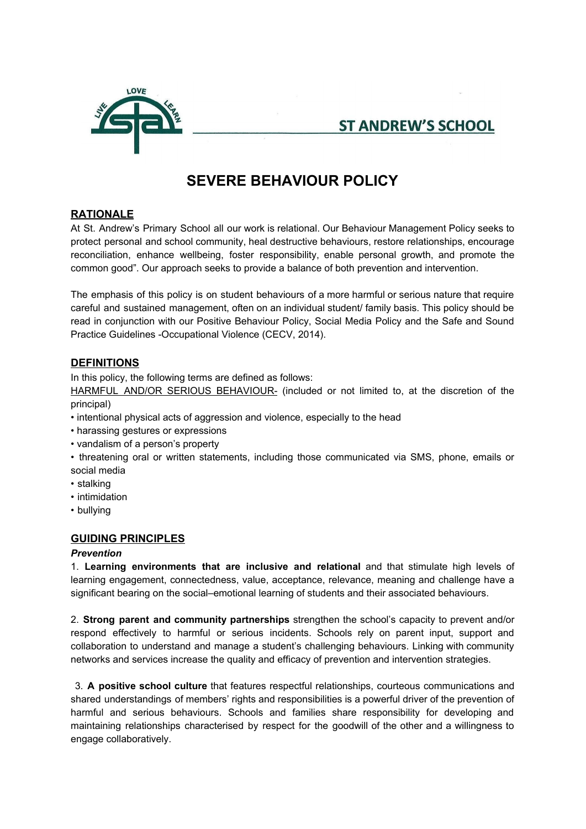

**ST ANDREW'S SCHOOL** 

# **SEVERE BEHAVIOUR POLICY**

# **RATIONALE**

At St. Andrew's Primary School all our work is relational. Our Behaviour Management Policy seeks to protect personal and school community, heal destructive behaviours, restore relationships, encourage reconciliation, enhance wellbeing, foster responsibility, enable personal growth, and promote the common good". Our approach seeks to provide a balance of both prevention and intervention.

The emphasis of this policy is on student behaviours of a more harmful or serious nature that require careful and sustained management, often on an individual student/ family basis. This policy should be read in conjunction with our Positive Behaviour Policy, Social Media Policy and the Safe and Sound Practice Guidelines -Occupational Violence (CECV, 2014).

# **DEFINITIONS**

In this policy, the following terms are defined as follows:

HARMFUL AND/OR SERIOUS BEHAVIOUR- (included or not limited to, at the discretion of the principal)

- intentional physical acts of aggression and violence, especially to the head
- harassing gestures or expressions
- vandalism of a person's property
- threatening oral or written statements, including those communicated via SMS, phone, emails or social media
- stalking
- intimidation
- bullying

# **GUIDING PRINCIPLES**

# *Prevention*

1. **Learning environments that are inclusive and relational** and that stimulate high levels of learning engagement, connectedness, value, acceptance, relevance, meaning and challenge have a significant bearing on the social–emotional learning of students and their associated behaviours.

2. **Strong parent and community partnerships** strengthen the school's capacity to prevent and/or respond effectively to harmful or serious incidents. Schools rely on parent input, support and collaboration to understand and manage a student's challenging behaviours. Linking with community networks and services increase the quality and efficacy of prevention and intervention strategies.

3. **A positive school culture** that features respectful relationships, courteous communications and shared understandings of members' rights and responsibilities is a powerful driver of the prevention of harmful and serious behaviours. Schools and families share responsibility for developing and maintaining relationships characterised by respect for the goodwill of the other and a willingness to engage collaboratively.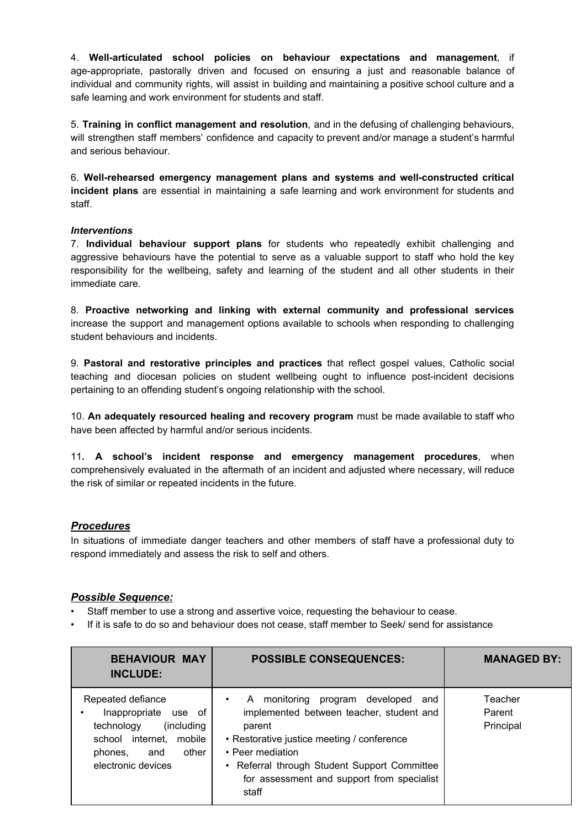4. **Well-articulated school policies on behaviour expectations and management**, if age-appropriate, pastorally driven and focused on ensuring a just and reasonable balance of individual and community rights, will assist in building and maintaining a positive school culture and a safe learning and work environment for students and staff.

5. **Training in conflict management and resolution**, and in the defusing of challenging behaviours, will strengthen staff members' confidence and capacity to prevent and/or manage a student's harmful and serious behaviour.

6. **Well-rehearsed emergency management plans and systems and well-constructed critical incident plans** are essential in maintaining a safe learning and work environment for students and staff.

#### *Interventions*

7. **Individual behaviour support plans** for students who repeatedly exhibit challenging and aggressive behaviours have the potential to serve as a valuable support to staff who hold the key responsibility for the wellbeing, safety and learning of the student and all other students in their immediate care.

8. **Proactive networking and linking with external community and professional services** increase the support and management options available to schools when responding to challenging student behaviours and incidents.

9. **Pastoral and restorative principles and practices** that reflect gospel values, Catholic social teaching and diocesan policies on student wellbeing ought to influence post-incident decisions pertaining to an offending student's ongoing relationship with the school.

10. **An adequately resourced healing and recovery program** must be made available to staff who have been affected by harmful and/or serious incidents.

11**. A school's incident response and emergency management procedures**, when comprehensively evaluated in the aftermath of an incident and adjusted where necessary, will reduce the risk of similar or repeated incidents in the future.

#### *Procedures*

In situations of immediate danger teachers and other members of staff have a professional duty to respond immediately and assess the risk to self and others.

#### *Possible Sequence:*

Staff member to use a strong and assertive voice, requesting the behaviour to cease.

• If it is safe to do so and behaviour does not cease, staff member to Seek/ send for assistance

| <b>BEHAVIOUR MAY</b><br><b>INCLUDE:</b>                                                                                                                 | <b>POSSIBLE CONSEQUENCES:</b>                                                                                                                                                                                                                                      | <b>MANAGED BY:</b>             |
|---------------------------------------------------------------------------------------------------------------------------------------------------------|--------------------------------------------------------------------------------------------------------------------------------------------------------------------------------------------------------------------------------------------------------------------|--------------------------------|
| Repeated defiance<br>Inappropriate<br>use of<br>(including<br>technology<br>school internet,<br>mobile<br>phones,<br>other<br>and<br>electronic devices | A monitoring program developed<br>and<br>implemented between teacher, student and<br>parent<br>• Restorative justice meeting / conference<br>• Peer mediation<br>Referral through Student Support Committee<br>for assessment and support from specialist<br>staff | Teacher<br>Parent<br>Principal |